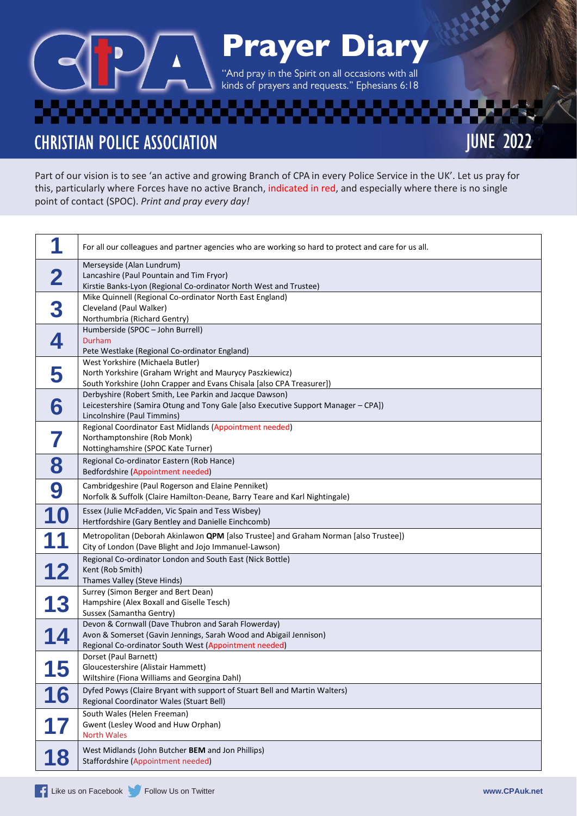## Prayer Diary

''And pray in the Spirit on all occasions with all kinds of prayers and requests." Ephesians 6:18

**CHRISTIAN POLICE ASSOCIATION** 

Part of our vision is to see 'an active and growing Branch of CPA in every Police Service in the UK'. Let us pray for this, particularly where Forces have no active Branch, indicated in red, and especially where there is no single point of contact (SPOC). *Print and pray every day!*

|            | For all our colleagues and partner agencies who are working so hard to protect and care for us all.                                                                               |
|------------|-----------------------------------------------------------------------------------------------------------------------------------------------------------------------------------|
| 2          | Merseyside (Alan Lundrum)<br>Lancashire (Paul Pountain and Tim Fryor)<br>Kirstie Banks-Lyon (Regional Co-ordinator North West and Trustee)                                        |
| 3          | Mike Quinnell (Regional Co-ordinator North East England)<br>Cleveland (Paul Walker)<br>Northumbria (Richard Gentry)                                                               |
| 4          | Humberside (SPOC - John Burrell)<br>Durham<br>Pete Westlake (Regional Co-ordinator England)                                                                                       |
| 5          | West Yorkshire (Michaela Butler)<br>North Yorkshire (Graham Wright and Maurycy Paszkiewicz)<br>South Yorkshire (John Crapper and Evans Chisala [also CPA Treasurer])              |
| 6          | Derbyshire (Robert Smith, Lee Parkin and Jacque Dawson)<br>Leicestershire (Samira Otung and Tony Gale [also Executive Support Manager - CPA])<br>Lincolnshire (Paul Timmins)      |
|            | Regional Coordinator East Midlands (Appointment needed)<br>Northamptonshire (Rob Monk)<br>Nottinghamshire (SPOC Kate Turner)                                                      |
| 8          | Regional Co-ordinator Eastern (Rob Hance)<br>Bedfordshire (Appointment needed)                                                                                                    |
| 9          | Cambridgeshire (Paul Rogerson and Elaine Penniket)<br>Norfolk & Suffolk (Claire Hamilton-Deane, Barry Teare and Karl Nightingale)                                                 |
| 10         | Essex (Julie McFadden, Vic Spain and Tess Wisbey)<br>Hertfordshire (Gary Bentley and Danielle Einchcomb)                                                                          |
|            | Metropolitan (Deborah Akinlawon QPM [also Trustee] and Graham Norman [also Trustee])<br>City of London (Dave Blight and Jojo Immanuel-Lawson)                                     |
| 12         | Regional Co-ordinator London and South East (Nick Bottle)<br>Kent (Rob Smith)<br>Thames Valley (Steve Hinds)                                                                      |
| 13         | Surrey (Simon Berger and Bert Dean)<br>Hampshire (Alex Boxall and Giselle Tesch)<br>Sussex (Samantha Gentry)                                                                      |
| 14         | Devon & Cornwall (Dave Thubron and Sarah Flowerday)<br>Avon & Somerset (Gavin Jennings, Sarah Wood and Abigail Jennison)<br>Regional Co-ordinator South West (Appointment needed) |
| 1 E<br>L J | Dorset (Paul Barnett)<br>Gloucestershire (Alistair Hammett)<br>Wiltshire (Fiona Williams and Georgina Dahl)                                                                       |
| 6          | Dyfed Powys (Claire Bryant with support of Stuart Bell and Martin Walters)<br>Regional Coordinator Wales (Stuart Bell)                                                            |
| 17         | South Wales (Helen Freeman)<br>Gwent (Lesley Wood and Huw Orphan)<br><b>North Wales</b>                                                                                           |
| 18         | West Midlands (John Butcher BEM and Jon Phillips)<br>Staffordshire (Appointment needed)                                                                                           |

JUNE 2022